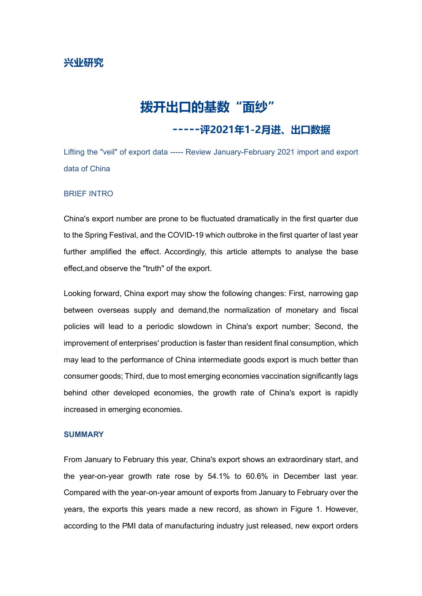## **兴业研究**

# **拨开出口的基数"面纱"**

## **-----评2021年1-2月进、出口数据**

Lifting the "veil" of export data ----- Review January-February 2021 import and export data of China

#### BRIEF INTRO

China's export number are prone to be fluctuated dramatically in the first quarter due to the Spring Festival, and the COVID-19 which outbroke in the first quarter of last year further amplified the effect. Accordingly, this article attempts to analyse the base effect,and observe the "truth" of the export.

Looking forward, China export may show the following changes: First, narrowing gap between overseas supply and demand,the normalization of monetary and fiscal policies will lead to a periodic slowdown in China's export number; Second, the improvement of enterprises' production is faster than resident final consumption, which may lead to the performance of China intermediate goods export is much better than consumer goods; Third, due to most emerging economies vaccination significantly lags behind other developed economies, the growth rate of China's export is rapidly increased in emerging economies.

#### **SUMMARY**

From January to February this year, China's export shows an extraordinary start, and the year-on-year growth rate rose by 54.1% to 60.6% in December last year. Compared with the year-on-year amount of exports from January to February over the years, the exports this years made a new record, as shown in Figure 1. However, according to the PMI data of manufacturing industry just released, new export orders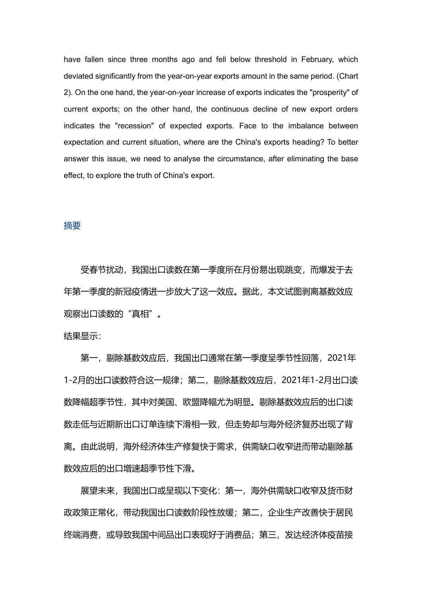have fallen since three months ago and fell below threshold in February, which deviated significantly from the year-on-year exports amount in the same period. (Chart 2). On the one hand, the year-on-year increase of exports indicates the "prosperity" of current exports; on the other hand, the continuous decline of new export orders indicates the "recession" of expected exports. Face to the imbalance between expectation and current situation, where are the China's exports heading? To better answer this issue, we need to analyse the circumstance, after eliminating the base effect, to explore the truth of China's export.

#### 摘要

受春节扰动,我国出口读数在第一季度所在月份易出现跳变,而爆发于去 年第一季度的新冠疫情进一步放大了这一效应。据此,本文试图剥离基数效应 观察出口读数的"真相"。

#### 结果显示:

第一, 剔除基数效应后, 我国出口通常在第一季度呈季节性回落, 2021年 1-2月的出口读数符合这一规律;第二,剔除基数效应后,2021年1-2月出口读 数降幅超季节性,其中对美国、欧盟降幅尤为明显。剔除基数效应后的出口读 数走低与近期新出口订单连续下滑相一致,但走势却与海外经济复苏出现了背 离。由此说明,海外经济体生产修复快于需求,供需缺口收窄进而带动剔除基 数效应后的出口增速超季节性下滑。

展望未来,我国出口或呈现以下变化:第一,海外供需缺口收窄及货币财 政政策正常化,带动我国出口读数阶段性放缓;第二,企业生产改善快于居民 终端消费, 或导致我国中间品出口表现好干消费品; 第三, 发达经济体疫苗接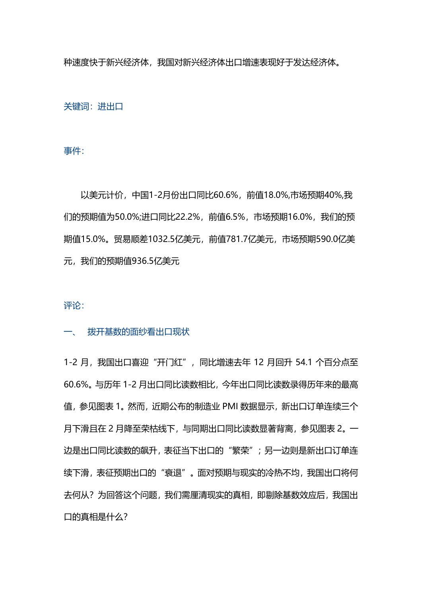种速度快于新兴经济体,我国对新兴经济体出口增速表现好于发达经济体。

关键词:进出口

事件:

以美元计价,中国1-2月份出口同比60.6%,前值18.0%,市场预期40%,我 们的预期值为50.0%;进口同比22.2%,前值6.5%,市场预期16.0%,我们的预 期值15.0%。贸易顺差1032.5亿美元,前值781.7亿美元,市场预期590.0亿美 元,我们的预期值936.5亿美元

评论:

#### 一、 拨开基数的面纱看出口现状

1-2 月, 我国出口喜迎"开门红", 同比增速去年 12 月回升 54.1 个百分点至 60.6%。与历年 1-2 月出口同比读数相比,今年出口同比读数录得历年来的最高 值,参见图表 1。然而,近期公布的制造业 PMI 数据显示,新出口订单连续三个 月下滑且在 2 月降至荣枯线下,与同期出口同比读数显著背离,参见图表 2。一 边是出口同比读数的飙升,表征当下出口的"繁荣";另一边则是新出口订单连 续下滑,表征预期出口的"衰退"。面对预期与现实的冷热不均,我国出口将何 去何从?为回答这个问题,我们需厘清现实的真相,即剔除基数效应后,我国出 口的真相是什么?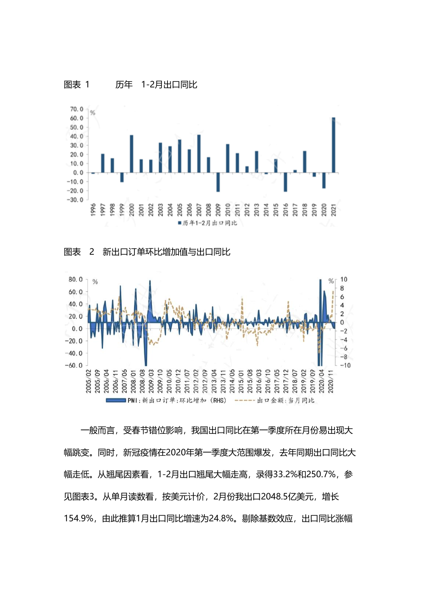



图表 1 历年 1-2月出口同比



一般而言,受春节错位影响,我国出口同比在第一季度所在月份易出现大 幅跳变。同时,新冠疫情在2020年第一季度大范围爆发,去年同期出口同比大 幅走低。从翘尾因素看,1-2月出口翘尾大幅走高,录得33.2%和250.7%,参 见图表3。从单月读数看,按美元计价,2月份我出口2048.5亿美元,增长 154.9%, 由此推算1月出口同比增速为24.8%。剔除基数效应, 出口同比涨幅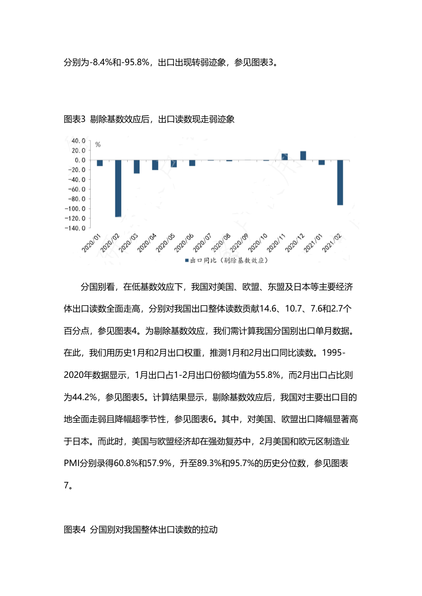分别为-8.4%和-95.8%,出口出现转弱迹象,参见图表3。



图表3 剔除基数效应后,出口读数现走弱迹象

分国别看,在低基数效应下,我国对美国、欧盟、东盟及日本等主要经济 体出口读数全面走高,分别对我国出口整体读数贡献14.6、10.7、7.6和2.7个 百分点,参见图表4。为剔除基数效应,我们需计算我国分国别出口单月数据。 在此,我们用历史1月和2月出口权重,推测1月和2月出口同比读数。1995- 2020年数据显示,1月出口占1-2月出口份额均值为55.8%,而2月出口占比则 为44.2%,参见图表5。计算结果显示,剔除基数效应后,我国对主要出口目的 地全面走弱且降幅超季节性,参见图表6。其中,对美国、欧盟出口降幅显著高 于日本。而此时,美国与欧盟经济却在强劲复苏中,2月美国和欧元区制造业 PMI分别录得60.8%和57.9%,升至89.3%和95.7%的历史分位数,参见图表 7。

图表4 分国别对我国整体出口读数的拉动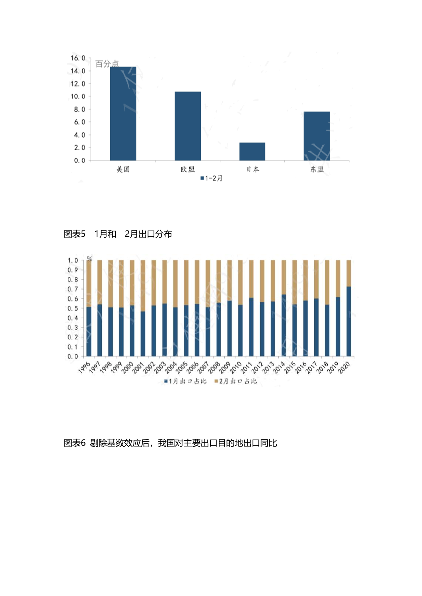





### 图表6 剔除基数效应后,我国对主要出口目的地出口同比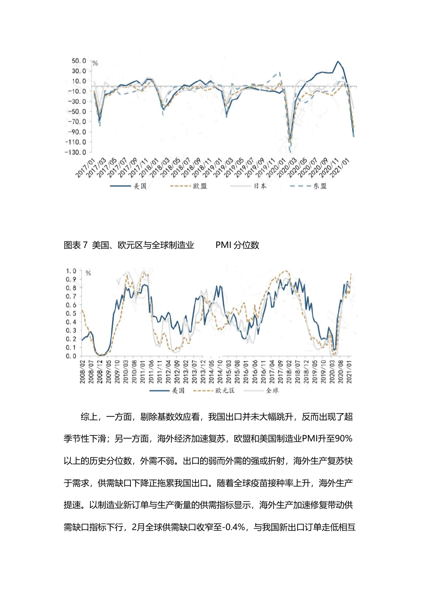



综上,一方面,剔除基数效应看,我国出口并未大幅跳升,反而出现了超 季节性下滑;另一方面,海外经济加速复苏,欧盟和美国制造业PMI升至90% 以上的历史分位数,外需不弱。出口的弱而外需的强或折射,海外生产复苏快 于需求,供需缺口下降正拖累我国出口。随着全球疫苗接种率上升,海外生产 提速。以制造业新订单与生产衡量的供需指标显示,海外生产加速修复带动供 需缺口指标下行,2月全球供需缺口收窄至-0.4%,与我国新出口订单走低相互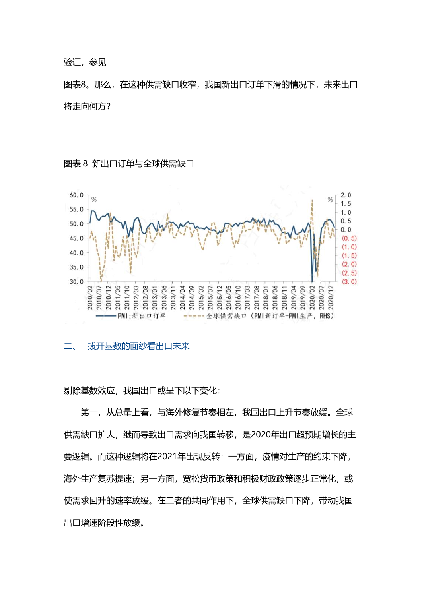#### 验证,参见

图表8。那么,在这种供需缺口收窄,我国新出口订单下滑的情况下,未来出口 将走向何方?

图表 8 新出口订单与全球供需缺口



#### 二、 拨开基数的面纱看出口未来

剔除基数效应,我国出口或呈下以下变化:

第一,从总量上看,与海外修复节奏相左,我国出口上升节奏放缓。全球 供需缺口扩大,继而导致出口需求向我国转移,是2020年出口超预期增长的主 要逻辑。而这种逻辑将在2021年出现反转:一方面,疫情对生产的约束下降, 海外生产复苏提速;另一方面,宽松货币政策和积极财政政策逐步正常化,或 使需求回升的速率放缓。在二者的共同作用下,全球供需缺口下降,带动我国 出口增速阶段性放缓。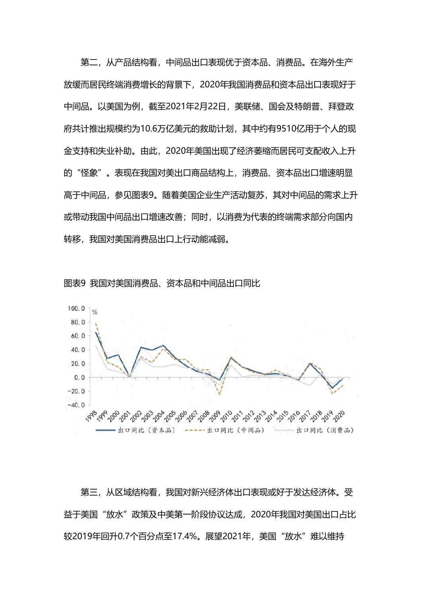第二,从产品结构看,中间品出口表现优于资本品、消费品。在海外生产 放缓而居民终端消费增长的背景下,2020年我国消费品和资本品出口表现好于 中间品。以美国为例,截至2021年2月22日,美联储、国会及特朗普、拜登政 府共计推出规模约为10.6万亿美元的救助计划,其中约有9510亿用于个人的现 金支持和失业补助。由此,2020年美国出现了经济萎缩而居民可支配收入上升 的"怪象"。表现在我国对美出口商品结构上,消费品、资本品出口增速明显 高于中间品,参见图表9。随着美国企业生产活动复苏,其对中间品的需求上升 或带动我国中间品出口增速改善;同时,以消费为代表的终端需求部分向国内 转移,我国对美国消费品出口上行动能减弱。





第三,从区域结构看,我国对新兴经济体出口表现或好于发达经济体。受 益于美国"放水"政策及中美第一阶段协议达成,2020年我国对美国出口占比 较2019年回升0.7个百分点至17.4%。展望2021年,美国"放水"难以维持